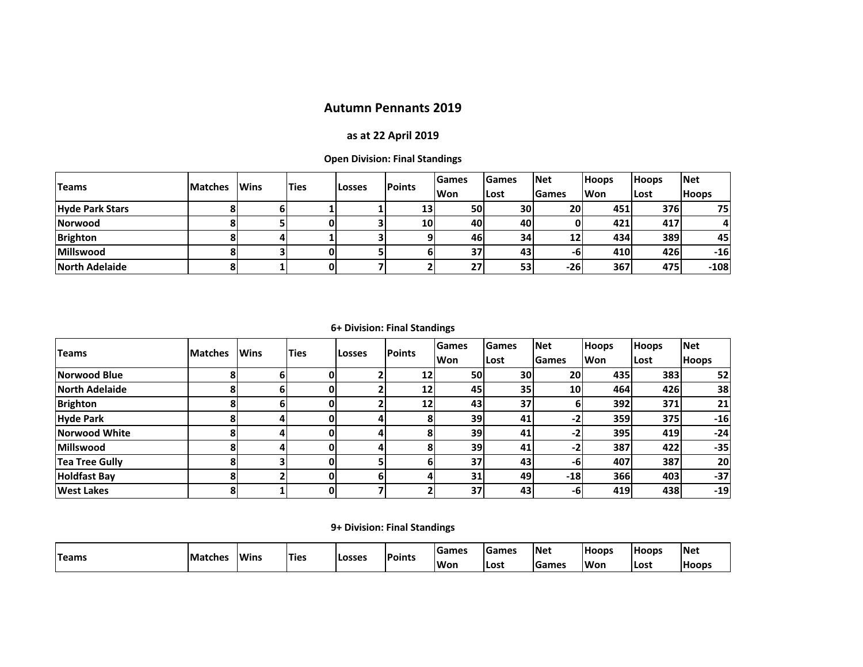## **Autumn Pennants 2019**

## **as at 22 April 2019**

**Open Division: Final Standings**

| <b>Teams</b>           | <b>Matches</b> | <b>IWins</b> | lTies | Losses | <b>Points</b> | l Games   | <b>IGames</b> | <b>Net</b>   | <b>Hoops</b> | <b>Hoops</b> | <b>Net</b>   |
|------------------------|----------------|--------------|-------|--------|---------------|-----------|---------------|--------------|--------------|--------------|--------------|
|                        |                |              |       |        |               | Won       | Lost          | <b>Games</b> | <b>Won</b>   | ILost        | <b>Hoops</b> |
| <b>Hyde Park Stars</b> |                |              |       |        | 13            | <b>50</b> | <b>30</b>     | <b>20</b>    | 451          | 376          | 75I          |
| Norwood                |                |              |       |        | 10            | 40I       | 40            |              | 421          | 417          |              |
| <b>Brighton</b>        |                |              |       |        |               | 46I       | 34            | 12           | 434          | <b>389</b>   | 45           |
| Millswood              |                |              |       |        |               | 37        | 43            | -61          | 410          | 426          | $-16$        |
| North Adelaide         |                |              |       |        |               | 27        | 53            | -261         | 367          | 475          | $-108$       |

**6+ Division: Final Standings**

| <b>Teams</b>          |                | <b>Wins</b> | <b>Ties</b>  | <b>Losses</b> | <b>Points</b>   | <b>Games</b> | <b>Games</b> | <b>Net</b>      | <b>Hoops</b> | <b>Hoops</b> | <b>Net</b>   |
|-----------------------|----------------|-------------|--------------|---------------|-----------------|--------------|--------------|-----------------|--------------|--------------|--------------|
|                       | <b>Matches</b> |             |              |               |                 | Won          | Lost         | <b>Games</b>    | Won          | Lost         | <b>Hoops</b> |
| Norwood Blue          | ο              | ы           | 0            |               | 12 <sup>1</sup> | 50           | 30           | <b>20</b>       | 435          | 383          | 52           |
| <b>North Adelaide</b> |                | h           | 0            |               | 12              | 45           | 35           | 10 <sub>l</sub> | 464          | 426          | 38           |
| <b>Brighton</b>       |                | h           | 0            |               | 12              | 43           | 37           | ы               | 392          | 371          | 21           |
| <b>Hyde Park</b>      |                |             | 0            | 41            |                 | <b>39</b>    | 41           | -2              | 359          | 375          | $-16$        |
| <b>Norwood White</b>  |                |             | 0            | 41            |                 | <b>39</b>    | 41           | -2              | 395          | 419          | $-24$        |
| <b>Millswood</b>      |                |             | $\mathbf 0$  | 41            |                 | <b>39</b>    | 41           | -2              | 387          | 422          | $-35$        |
| Tea Tree Gully        |                |             | $\mathbf{0}$ |               |                 | 37           | 43           | -61             | 407          | 387          | 20           |
| <b>Holdfast Bay</b>   |                |             | 0l           | 61            |                 | 31           | 49           | $-18$           | <b>366</b>   | 403          | $-37$        |
| <b>West Lakes</b>     | 8              |             | 0            |               |                 | 37           | 43           | -61             | 419          | 438          | $-19$        |

**9+ Division: Final Standings**

| <b>Teams</b> | <b>Matches</b> | <b>Wins</b> |       | <b>Losses</b> | <b>Points</b> | <b>Sames</b> | <b>IGames</b> | <b>Net</b>   | <b>Hoops</b> | <b>Hoops</b> | <b>Net</b> |
|--------------|----------------|-------------|-------|---------------|---------------|--------------|---------------|--------------|--------------|--------------|------------|
|              |                |             | 'Ties |               |               | <b>Won</b>   | ILost         | <b>Games</b> | <b>Won</b>   | Lost         | l Hoops    |